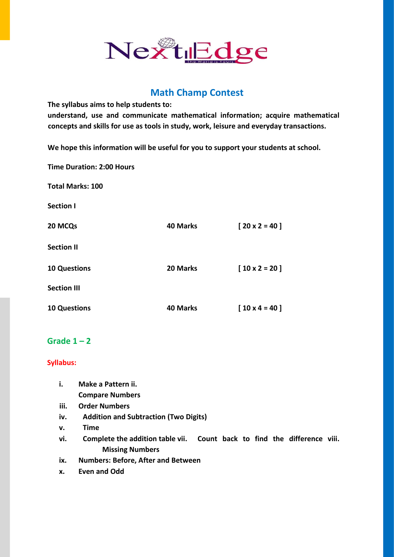# Nextledge

# **Math Champ Contest**

**The syllabus aims to help students to:** 

**understand, use and communicate mathematical information; acquire mathematical concepts and skills for use as tools in study, work, leisure and everyday transactions.** 

**We hope this information will be useful for you to support your students at school.** 

**Time Duration: 2:00 Hours** 

**Total Marks: 100 Section I 20 MCQs 40 Marks [ 20 x 2 = 40 ] Section II 10 Questions 20 Marks [ 10 x 2 = 20 ] Section III 10 Questions 40 Marks [ 10 x 4 = 40 ]** 

## Grade  $1 - 2$

#### **Syllabus:**

- **i. Make a Pattern ii. Compare Numbers iii. Order Numbers iv. Addition and Subtraction (Two Digits) v. Time vi. Complete the addition table vii. Count back to find the difference viii. Missing Numbers**
- **ix. Numbers: Before, After and Between**
- **x. Even and Odd**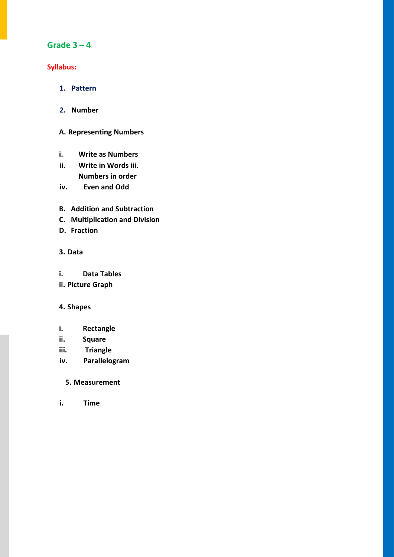## **Grade 3 – 4**

#### **Syllabus:**

- **1. Pattern**
- **2. Number**

#### **A. Representing Numbers**

- **i. Write as Numbers**
- **ii. Write in Words iii. Numbers in order**
- **iv. Even and Odd**
- **B. Addition and Subtraction**
- **C. Multiplication and Division**
- **D. Fraction**

#### **3. Data**

- **i. Data Tables**
- **ii. Picture Graph**

#### **4. Shapes**

- **i. Rectangle**
- **ii. Square**
- **iii. Triangle**
- **iv. Parallelogram**

#### **5. Measurement**

**i. Time**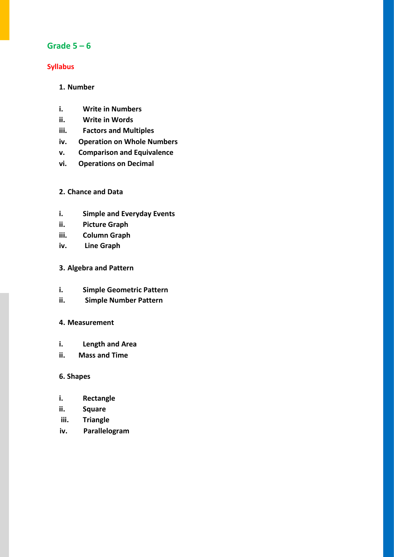## **Grade 5 – 6**

#### **Syllabus**

#### **1. Number**

- **i. Write in Numbers**
- **ii. Write in Words**
- **iii. Factors and Multiples**
- **iv. Operation on Whole Numbers**
- **v. Comparison and Equivalence**
- **vi. Operations on Decimal**

#### **2. Chance and Data**

- **i. Simple and Everyday Events**
- **ii. Picture Graph**
- **iii. Column Graph**
- **iv. Line Graph**

#### **3. Algebra and Pattern**

- **i. Simple Geometric Pattern**
- **ii. Simple Number Pattern**

#### **4. Measurement**

- **i. Length and Area**
- **ii. Mass and Time**

#### **6. Shapes**

- **i. Rectangle**
- **ii. Square**
- **iii. Triangle**
- **iv. Parallelogram**